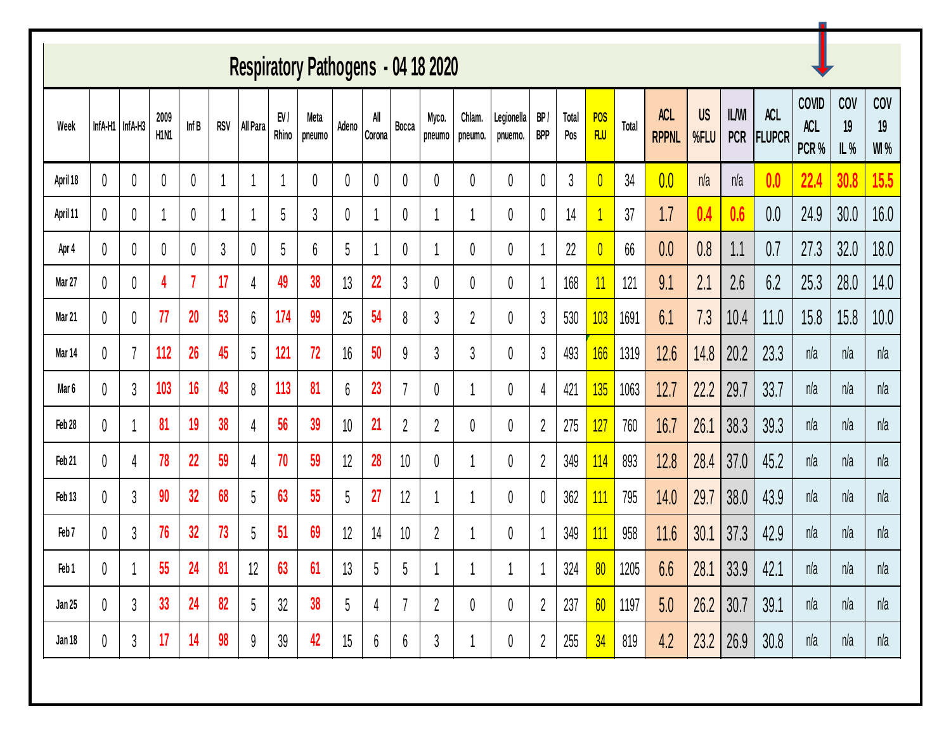| Respiratory Pathogens - 04 18 2020 |         |                |                                       |       |            |          |              |                |       |                |                |                 |                   |                       |                  |              |                          |       |                            |                   |                            |                             |                              |                  |                          |
|------------------------------------|---------|----------------|---------------------------------------|-------|------------|----------|--------------|----------------|-------|----------------|----------------|-----------------|-------------------|-----------------------|------------------|--------------|--------------------------|-------|----------------------------|-------------------|----------------------------|-----------------------------|------------------------------|------------------|--------------------------|
| Week                               | InfA-H1 | InfA-H3        | 2009<br>H <sub>1</sub> N <sub>1</sub> | Inf B | <b>RSV</b> | All Para | EV/<br>Rhino | Meta<br>pneumo | Adeno | All<br>Corona  | Bocca          | Myco.<br>pneumo | Chlam.<br>pneumo. | Legionella<br>pnuemo. | BP<br><b>BPP</b> | Total<br>Pos | <b>POS</b><br><b>FLU</b> | Total | <b>ACL</b><br><b>RPPNL</b> | <b>US</b><br>%FLU | <b>IL/WI</b><br><b>PCR</b> | <b>ACL</b><br><b>FLUPCR</b> | <b>COVID</b><br>ACL<br>PCR % | COV<br>19<br>IL% | COV<br>19<br><b>WI</b> % |
| April 18                           | 0       | 0              | 0                                     | 0     |            |          |              | 0              | 0     | 0              | 0              | 0               | 0                 | 0                     | 0                | 3            | $\overline{0}$           | 34    | 0.0                        | n/a               | n/a                        | 0.0                         | 22.4                         | 30.8             | 15.5                     |
| April 11                           | 0       | 0              |                                       | 0     |            |          | 5            | 3              | 0     | 1              | 0              |                 |                   | 0                     | 0                | 14           |                          | 37    | 1.7                        | 0.4               | 0.6                        | 0.0                         | 24.9                         | 30.0             | 16.0                     |
| Apr 4                              | 0       | 0              |                                       | 0     | 3          | 0        | 5            | 6              | 5     |                | 0              |                 | 0                 | 0                     |                  | 22           | $\overline{0}$           | 66    | 0.0                        | 0.8               | 1.1                        | 0.7                         | 27.3                         | 32.0             | 18.0                     |
| Mar 27                             | 0       | 0              | 4                                     |       | 17         | 4        | 49           | 38             | 13    | 22             | 3              | 0               | 0                 | 0                     |                  | 168          | 11                       | 121   | 9.1                        | 2.1               | 2.6                        | 6.2                         | 25.3                         | 28.0             | 14.0                     |
| Mar 21                             | 0       | 0              | 77                                    | 20    | 53         | 6        | 174          | 99             | 25    | 54             | 8              | 3               | 2                 | 0                     | $\mathfrak{z}$   | 530          | 103                      | 1691  | 6.1                        | 7.3               | 10.4                       | 11.0                        | 15.8                         | 15.8             | 10.0                     |
| Mar 14                             | 0       | $\overline{7}$ | 112                                   | 26    | 45         | 5        | 121          | 72             | 16    | 50             | 9              | 3               | 3                 | 0                     | $\mathfrak{z}$   | 493          | 166                      | 1319  | 12.6                       | 14.8              | 20.2                       | 23.3                        | n/a                          | n/a              | n/a                      |
| Mar <sub>6</sub>                   | 0       | $\mathfrak{z}$ | 103                                   | 16    | 43         | 8        | 113          | 81             | 6     | 23             |                | 0               |                   | 0                     | 4                | 421          | 135                      | 1063  | 12.7                       | 22.2              | 29.7                       | 33.7                        | n/a                          | n/a              | n/a                      |
| Feb 28                             | 0       |                | 81                                    | 19    | 38         | 4        | 56           | 39             | 10    | 21             | $\overline{2}$ | $\overline{2}$  | 0                 | 0                     | $\overline{2}$   | 275          | 127                      | 760   | 16.7                       | 26.1              | 38.3                       | 39.3                        | n/a                          | n/a              | n/a                      |
| Feb 21                             | 0       | 4              | 78                                    | 22    | 59         | 4        | 70           | 59             | 12    | 28             | 10             | 0               |                   | 0                     | $\overline{2}$   | 349          | 114                      | 893   | 12.8                       | 28.4              | 37.0                       | 45.2                        | n/a                          | n/a              | n/a                      |
| Feb <sub>13</sub>                  | 0       | $\mathfrak{z}$ | 90                                    | 32    | 68         | 5        | 63           | 55             | 5     | 27             | 12             |                 |                   | 0                     | 0                | 362          | <u>111</u>               | 795   | 14.0                       | 29.7              | 38.0                       | 43.9                        | n/a                          | n/a              | n/a                      |
| Feb <sub>7</sub>                   | 0       | $\mathfrak{z}$ | 76                                    | 32    | 73         | 5        | 51           | 69             | 12    | 14             | 10             | $\overline{2}$  |                   | 0                     |                  | 349          | 111                      | 958   | 11.6                       | 30.7              | 37.3                       | 42.9                        | n/a                          | n/a              | n/a                      |
| Feb 1                              | 0       |                | 55                                    | 24    | 81         | 12       | 63           | 61             | 13    | 5              | 5              |                 |                   |                       |                  | 324          | 80                       | 1205  | 6.6                        | 28.1              | 33.9                       | 42.7                        | n/a                          | n/a              | n/a                      |
| Jan 25                             | 0       | $\mathfrak{Z}$ | 33                                    | 24    | 82         | 5        | 32           | 38             | 5     | $\overline{4}$ |                | $\overline{2}$  | 0                 | 0                     | $\overline{2}$   | 237          | 60                       | 1197  | 5.0                        | 26.2              | 30.7                       | 39.1                        | n/a                          | n/a              | n/a                      |
| Jan 18                             | 0       | 3              | 17                                    | 14    | 98         | 9        | 39           | 42             | 15    | 6              | 6              | 3               |                   | 0                     | $\overline{2}$   | 255          | 34                       | 819   | 4.2                        | 23.2              | 26.9                       | 30.8                        | n/a                          | n/a              | n/a                      |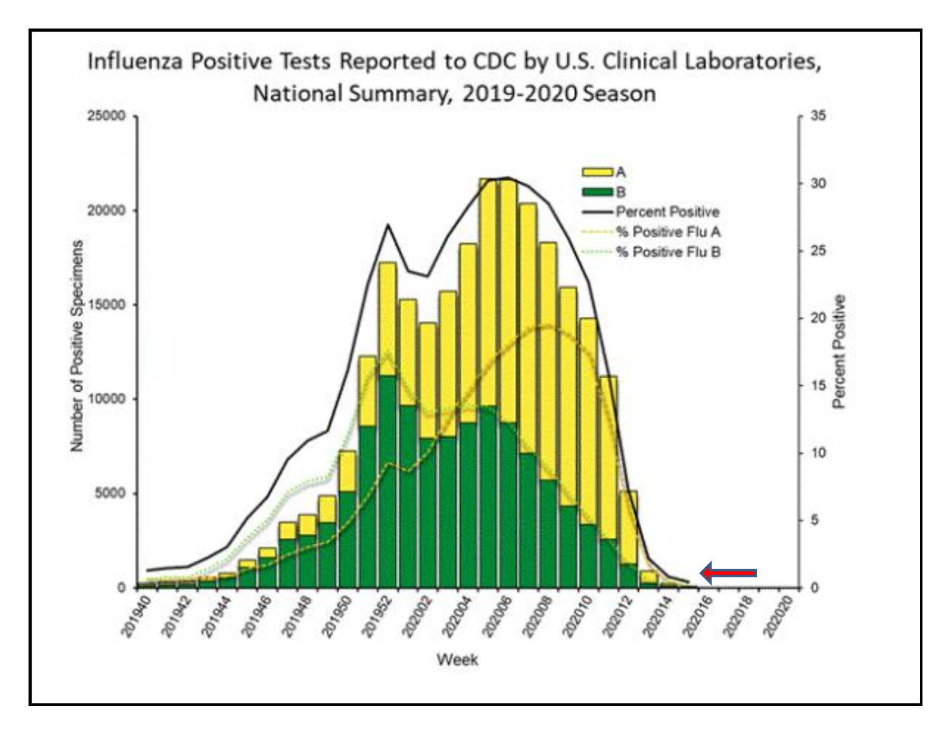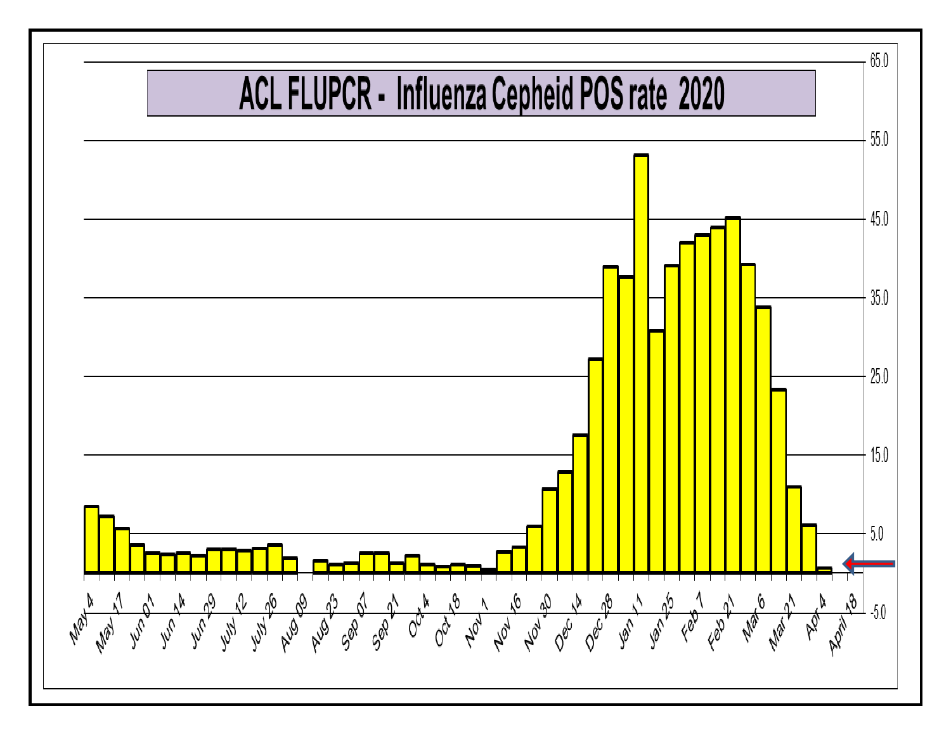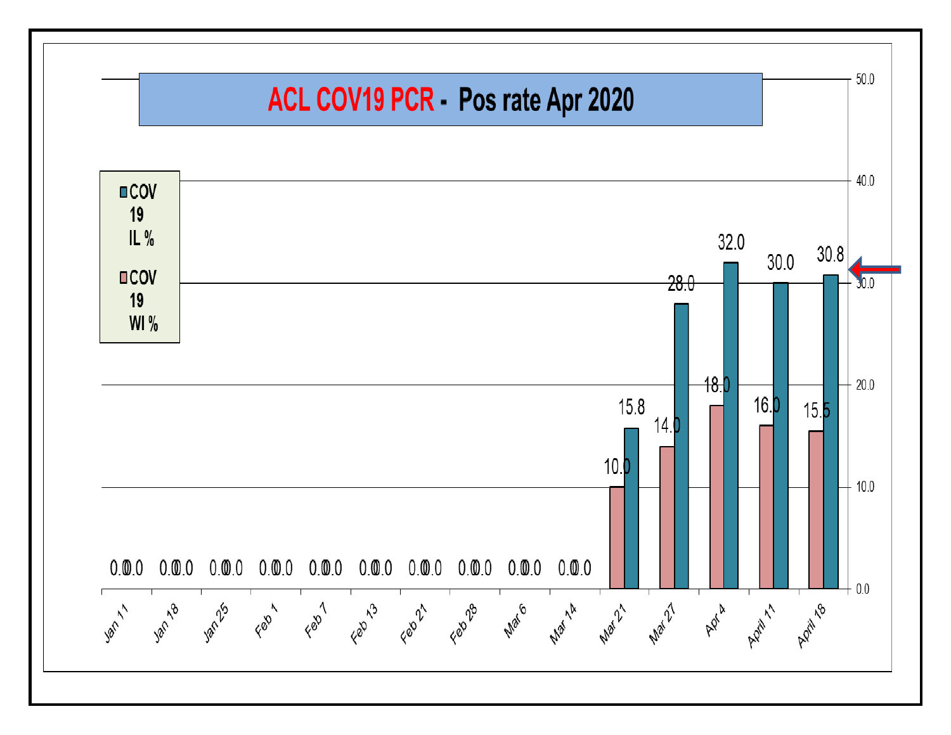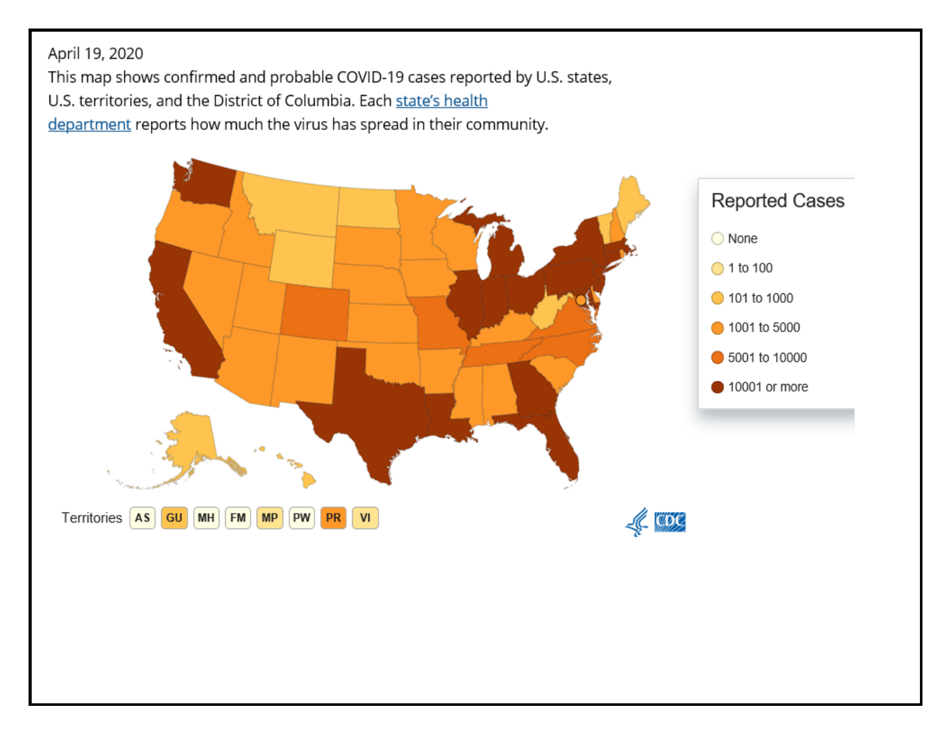April 19, 2020

This map shows confirmed and probable COVID-19 cases reported by U.S. states,

U.S. territories, and the District of Columbia. Each state's health

department reports how much the virus has spread in their community.

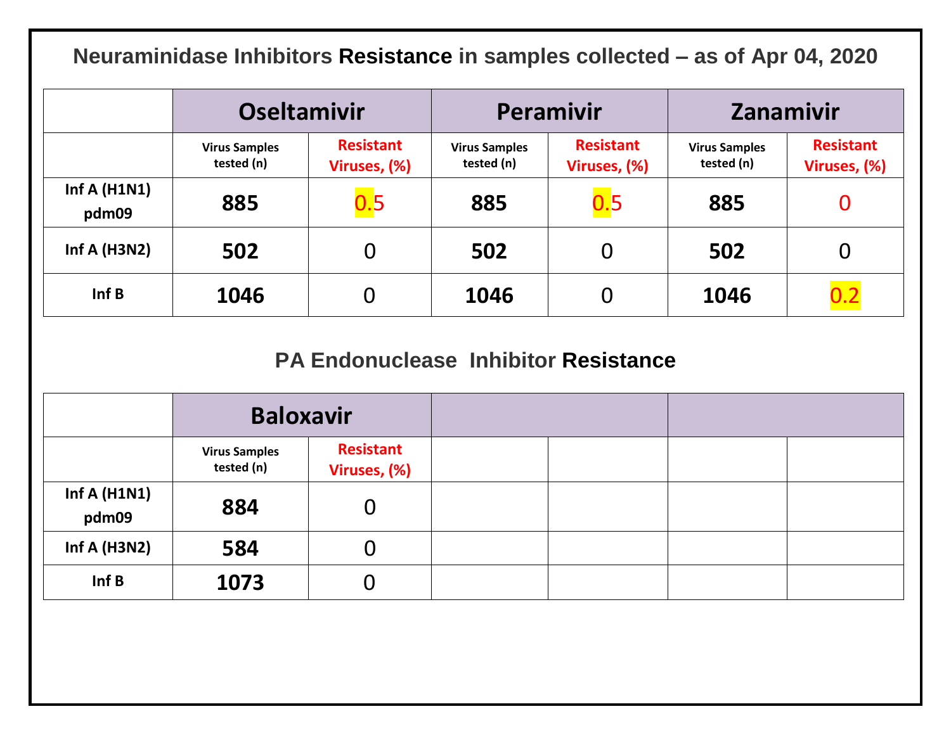**Neuraminidase Inhibitors Resistance in samples collected – as of Apr 04, 2020**

|                         | <b>Oseltamivir</b>                 |                                  |                                    | <b>Peramivir</b>                 | Zanamivir                          |                                  |  |  |
|-------------------------|------------------------------------|----------------------------------|------------------------------------|----------------------------------|------------------------------------|----------------------------------|--|--|
|                         | <b>Virus Samples</b><br>tested (n) | <b>Resistant</b><br>Viruses, (%) | <b>Virus Samples</b><br>tested (n) | <b>Resistant</b><br>Viruses, (%) | <b>Virus Samples</b><br>tested (n) | <b>Resistant</b><br>Viruses, (%) |  |  |
| Inf A $(H1N1)$<br>pdm09 | 885                                | 0.5                              | 885                                | 0.5                              | 885                                |                                  |  |  |
| Inf A ( $H3N2$ )        | 502                                | 0                                | 502                                |                                  | 502                                | O                                |  |  |
| Inf B                   | 1046                               | O                                | 1046                               |                                  | 1046                               | 0.2                              |  |  |

## **PA Endonuclease Inhibitor Resistance**

|                         | <b>Baloxavir</b>                   |                                  |  |  |
|-------------------------|------------------------------------|----------------------------------|--|--|
|                         | <b>Virus Samples</b><br>tested (n) | <b>Resistant</b><br>Viruses, (%) |  |  |
| Inf A $(H1N1)$<br>pdm09 | 884                                | $\bf{0}$                         |  |  |
| Inf A $(H3N2)$          | 584                                | 0                                |  |  |
| Inf B                   | 1073                               | O                                |  |  |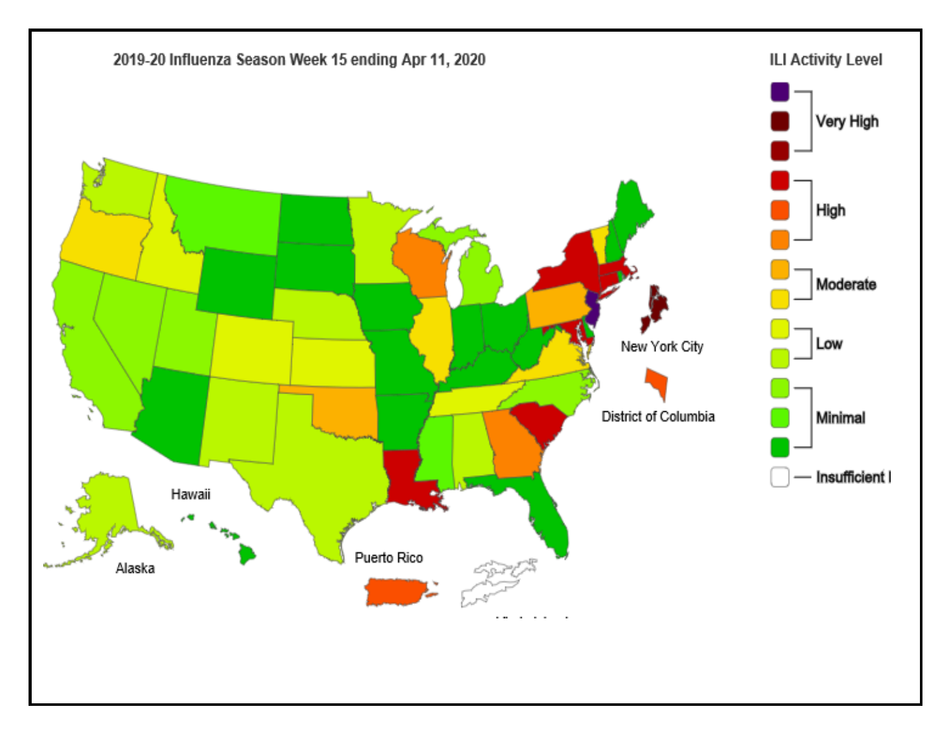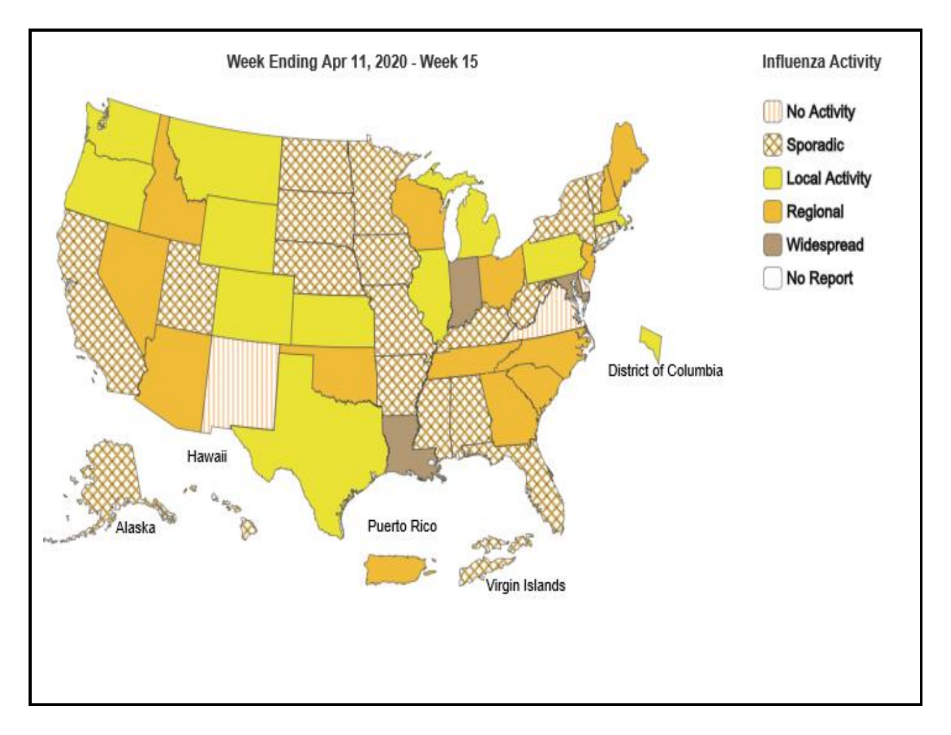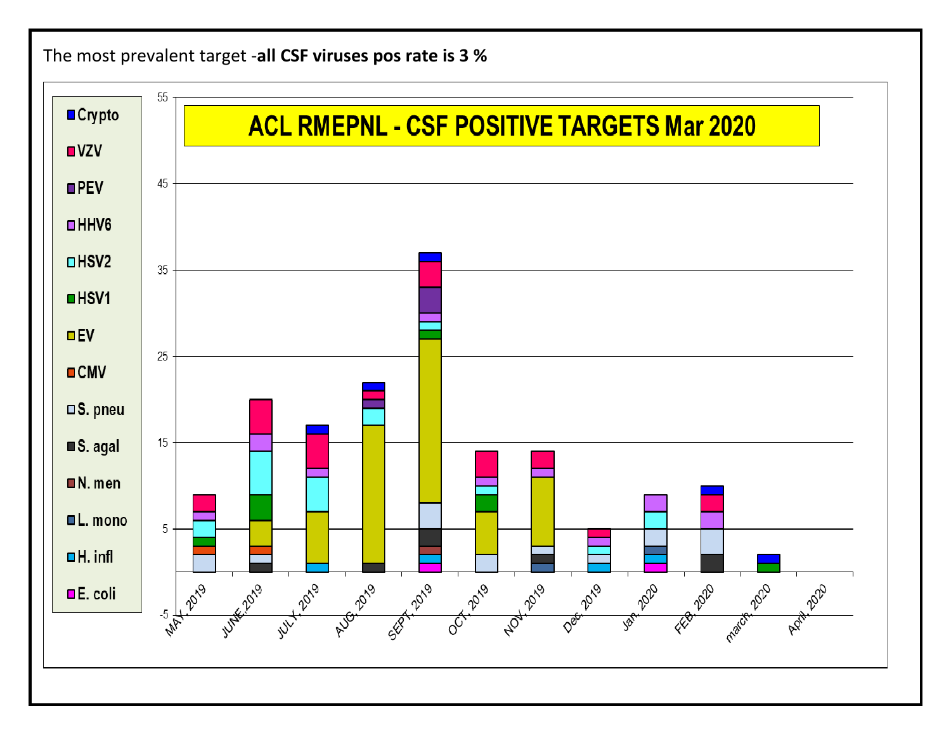## The most prevalent target -**all CSF viruses pos rate is 3 %**

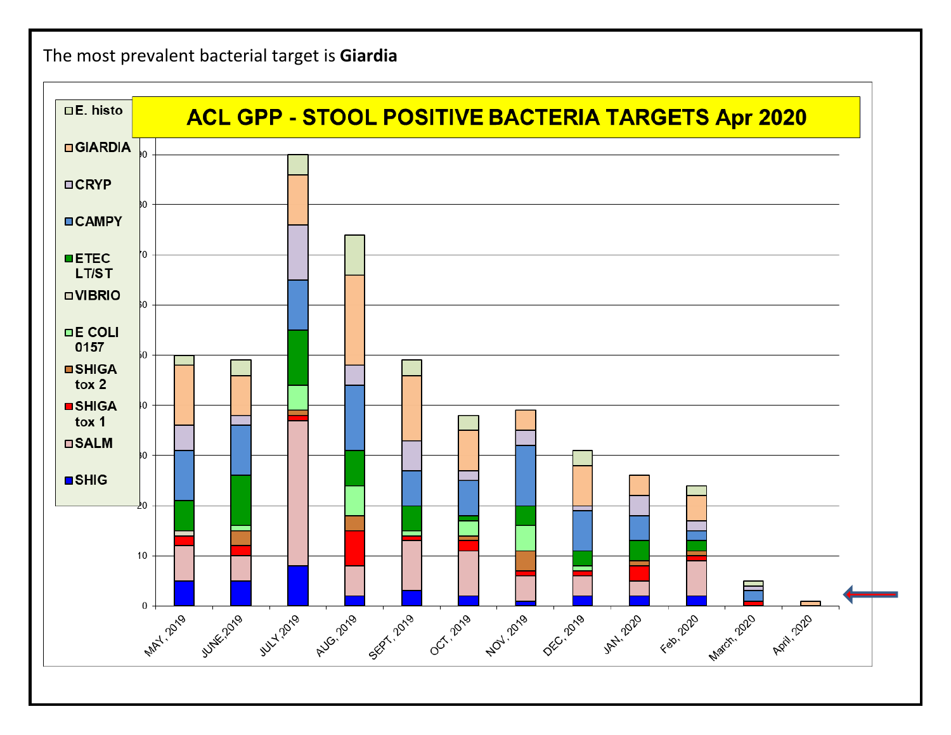The most prevalent bacterial target is **Giardia**